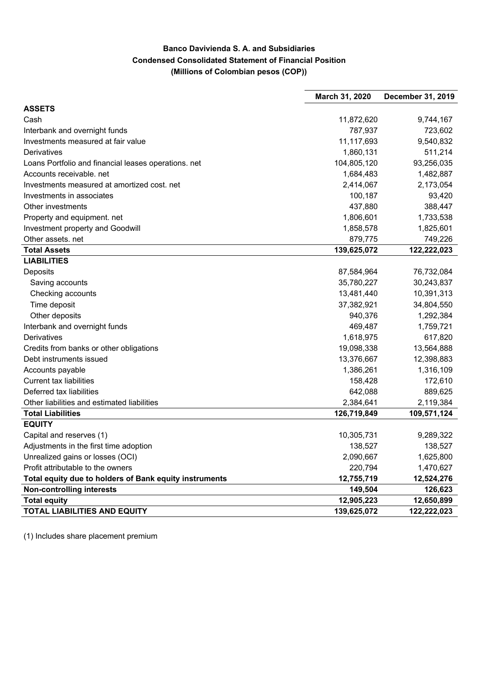## **Banco Davivienda S. A. and Subsidiaries Condensed Consolidated Statement of Financial Position (Millions of Colombian pesos (COP))**

|                                                        | March 31, 2020 | December 31, 2019 |
|--------------------------------------------------------|----------------|-------------------|
| <b>ASSETS</b>                                          |                |                   |
| Cash                                                   | 11,872,620     | 9,744,167         |
| Interbank and overnight funds                          | 787,937        | 723,602           |
| Investments measured at fair value                     | 11,117,693     | 9,540,832         |
| Derivatives                                            | 1,860,131      | 511,214           |
| Loans Portfolio and financial leases operations. net   | 104,805,120    | 93,256,035        |
| Accounts receivable. net                               | 1,684,483      | 1,482,887         |
| Investments measured at amortized cost. net            | 2,414,067      | 2,173,054         |
| Investments in associates                              | 100,187        | 93,420            |
| Other investments                                      | 437,880        | 388,447           |
| Property and equipment. net                            | 1,806,601      | 1,733,538         |
| Investment property and Goodwill                       | 1,858,578      | 1,825,601         |
| Other assets. net                                      | 879,775        | 749,226           |
| <b>Total Assets</b>                                    | 139,625,072    | 122,222,023       |
| <b>LIABILITIES</b>                                     |                |                   |
| Deposits                                               | 87,584,964     | 76,732,084        |
| Saving accounts                                        | 35,780,227     | 30,243,837        |
| Checking accounts                                      | 13,481,440     | 10,391,313        |
| Time deposit                                           | 37,382,921     | 34,804,550        |
| Other deposits                                         | 940,376        | 1,292,384         |
| Interbank and overnight funds                          | 469,487        | 1,759,721         |
| Derivatives                                            | 1,618,975      | 617,820           |
| Credits from banks or other obligations                | 19,098,338     | 13,564,888        |
| Debt instruments issued                                | 13,376,667     | 12,398,883        |
| Accounts payable                                       | 1,386,261      | 1,316,109         |
| <b>Current tax liabilities</b>                         | 158,428        | 172,610           |
| Deferred tax liabilities                               | 642,088        | 889,625           |
| Other liabilities and estimated liabilities            | 2,384,641      | 2,119,384         |
| <b>Total Liabilities</b>                               | 126,719,849    | 109,571,124       |
| <b>EQUITY</b>                                          |                |                   |
| Capital and reserves (1)                               | 10,305,731     | 9,289,322         |
| Adjustments in the first time adoption                 | 138,527        | 138,527           |
| Unrealized gains or losses (OCI)                       | 2,090,667      | 1,625,800         |
| Profit attributable to the owners                      | 220,794        | 1,470,627         |
| Total equity due to holders of Bank equity instruments | 12,755,719     | 12,524,276        |
| <b>Non-controlling interests</b>                       | 149,504        | 126,623           |
| <b>Total equity</b>                                    | 12,905,223     | 12,650,899        |
| <b>TOTAL LIABILITIES AND EQUITY</b>                    | 139,625,072    | 122,222,023       |

(1) Includes share placement premium